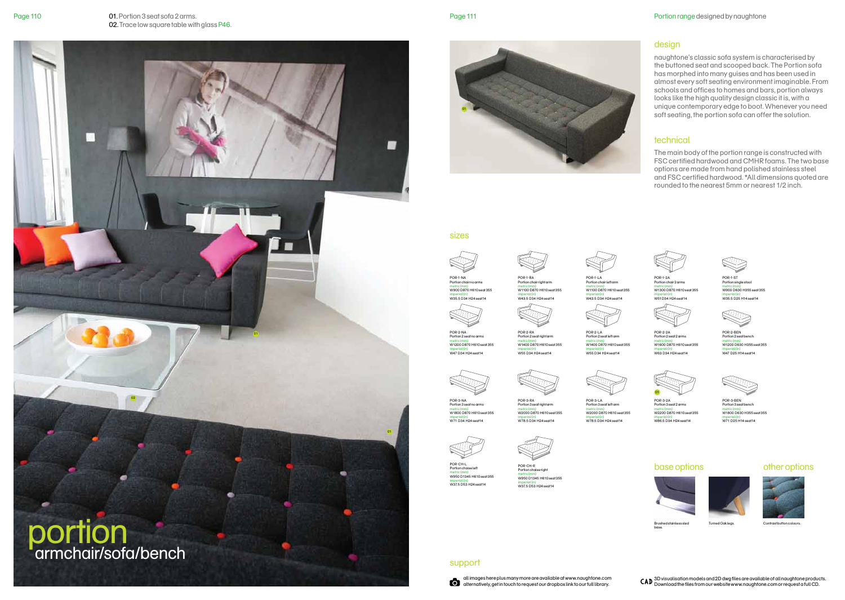

Page 110 **D1.** Portion 3 seat sofa 2 arms. **Page 111** and the solution 3 seat sofa 2 arms. 02. Trace low square table with glass P46.

> naughtone's classic sofa system is characterised by the buttoned seat and scooped back. The Portion sofa has morphed into many guises and has been used in almost every soft seating environment imaginable. From schools and offices to homes and bars, portion always looks like the high quality design classic it is, with a unique contemporary edge to boot. Whenever you need soft seating, the portion sofa can offer the solution.

> The main body of the portion range is constructed with FSC certified hardwood and CMHR foams. The two base options are made from hand polished stainless steel and FSC certified hardwood. \*All dimensions quoted are rounded to the nearest 5mm or nearest 1/2 inch.





Brushed stainless sled base.



# base options other options



Turned Oak legs. Contrast button colours.



#### sizes



POR-1-NA Portion chair no arms metric (mm) W900 D870 H610 seat 355 imperial (in) W35.5 D34 H24 seat14 POR-1-RA Portion chair right arm metric (mm) W1100 D870 H610 seat 355





metric (mm) W1100 D870 H610 seat 355 imperial (in) W43.5 D34 H24 seat14

POR-1-2A Portion chair 2 arms metric (mm) W1300 D870 H610 seat 355 imperial (in) W51 D34 H24 seat14

POR-1-ST Portion single stoo metric (mm) W900 D630 H355 seat 355 imperial (in) W35.5 D25 H14 seat14





POR-2-BEN Portion 2 seat bench metric (mm) W1200 D630 H355 seat 355 imperial (in) W47 D25 H14 seat14



POR-2-2A Portion 2 seat 2 arms metric (mm) W1600 D870 H610 seat 355 imperial (in) W63 D34 H24 seat14

POR-2-LA Portion 2 seat left arm metric (mm) W1400 D870 H610 seat 355 imperial (in) W55 D34 H24 seat14

POR-2-RA Portion 2 seat right arm metric (mm) W1400 D870 H610 seat 355 imperial (in) W55 D34 H24 seat14



POR-3-RA Portion 3 seat right arm metric (mm) W2000 D870 H610 seat 355 imperial (in) W78.5 D34 H24 seat14



POR-3-LA Portion 3 seat left arm metric (mm) W2000 D870 H610 seat 355 imperial (in) W78.5 D34 H24 seat14

POR-3-BEN Portion 3 seat bench metric (mm) W1800 D630 H355 seat 355 imperial (in) W71 D25 H14 seat14

POR-2-NA Portion 2 seat no arms metric (mm) W1200 D870 H610 seat 355 imperial (in) W47 D34 H24 seat14



POR-CH-L Portion chaise left metric (mm) W950 D1345 H610 seat 355



POR-3-2A Portion 3 seat 2 arms metric (mm) W2200 D870 H610 seat 355 imperial (in) W86.5 D34 H24 seat14



imperial (in) W37.5 D53 H24 seat14



imperial (in) W37.5 D53 H24 seat14

support

# design

## technical



all images here plus many more are available at www.naughtone.com alternatively, get in touch to request our dropbox link to our full library.